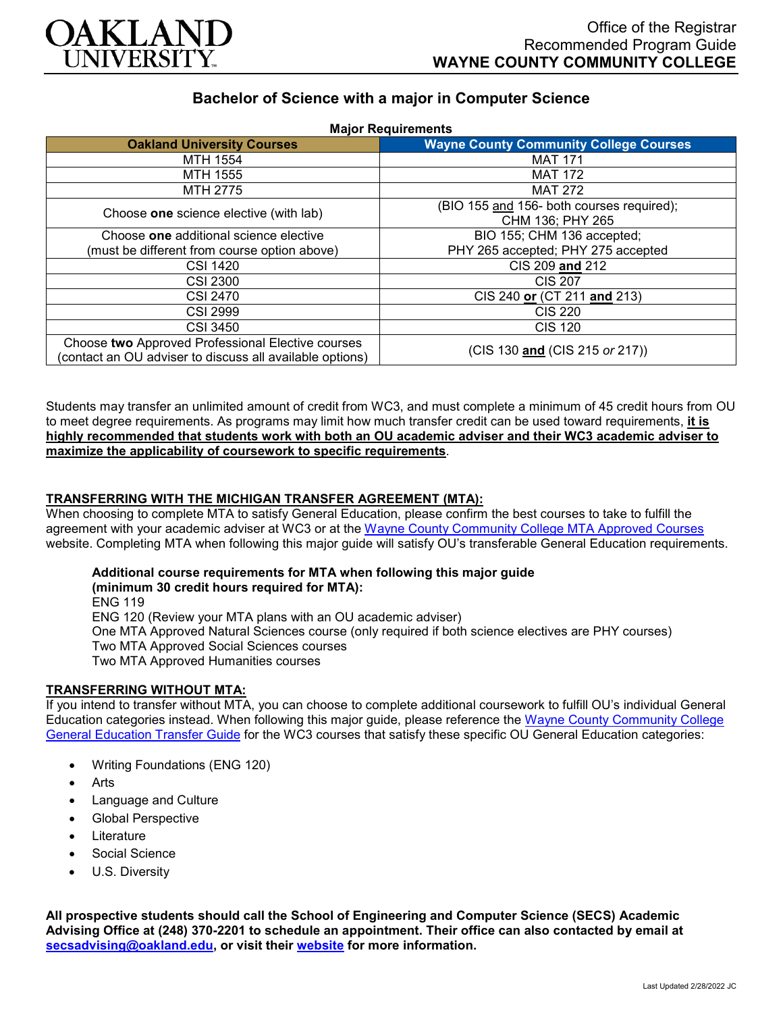

# **Bachelor of Science with a major in Computer Science**

| <b>Major Requirements</b>                                                                                     |                                               |
|---------------------------------------------------------------------------------------------------------------|-----------------------------------------------|
| <b>Oakland University Courses</b>                                                                             | <b>Wayne County Community College Courses</b> |
| MTH 1554                                                                                                      | <b>MAT 171</b>                                |
| MTH 1555                                                                                                      | <b>MAT 172</b>                                |
| MTH 2775                                                                                                      | <b>MAT 272</b>                                |
| Choose one science elective (with lab)                                                                        | (BIO 155 and 156- both courses required);     |
|                                                                                                               | CHM 136; PHY 265                              |
| Choose one additional science elective                                                                        | BIO 155; CHM 136 accepted;                    |
| (must be different from course option above)                                                                  | PHY 265 accepted; PHY 275 accepted            |
| <b>CSI 1420</b>                                                                                               | CIS 209 and 212                               |
| <b>CSI 2300</b>                                                                                               | <b>CIS 207</b>                                |
| <b>CSI 2470</b>                                                                                               | CIS 240 or (CT 211 and 213)                   |
| <b>CSI 2999</b>                                                                                               | <b>CIS 220</b>                                |
| CSI 3450                                                                                                      | <b>CIS 120</b>                                |
| Choose two Approved Professional Elective courses<br>(contact an OU adviser to discuss all available options) | (CIS 130 and (CIS 215 or 217))                |

Students may transfer an unlimited amount of credit from WC3, and must complete a minimum of 45 credit hours from OU to meet degree requirements. As programs may limit how much transfer credit can be used toward requirements, **it is highly recommended that students work with both an OU academic adviser and their WC3 academic adviser to maximize the applicability of coursework to specific requirements**.

## **TRANSFERRING WITH THE MICHIGAN TRANSFER AGREEMENT (MTA):**

When choosing to complete MTA to satisfy General Education, please confirm the best courses to take to fulfill the agreement with your academic adviser at WC3 or at the Wayne [County Community College](http://www.wcccd.edu/students/pp_transfer_agreement.html) MTA Approved Courses website. Completing MTA when following this major guide will satisfy OU's transferable General Education requirements.

## **Additional course requirements for MTA when following this major guide**

**(minimum 30 credit hours required for MTA):**

ENG 119 ENG 120 (Review your MTA plans with an OU academic adviser) One MTA Approved Natural Sciences course (only required if both science electives are PHY courses) Two MTA Approved Social Sciences courses Two MTA Approved Humanities courses

## **TRANSFERRING WITHOUT MTA:**

If you intend to transfer without MTA, you can choose to complete additional coursework to fulfill OU's individual General Education categories instead. When following this major guide, please reference the Wayne [County Community College](https://www.oakland.edu/Assets/Oakland/program-guides/wayne-county-community-college/university-general-education-requirements/Wayne%20Gen%20Ed.pdf) [General Education Transfer Guide](https://www.oakland.edu/Assets/Oakland/program-guides/wayne-county-community-college/university-general-education-requirements/Wayne%20Gen%20Ed.pdf) for the WC3 courses that satisfy these specific OU General Education categories:

- Writing Foundations (ENG 120)
- Arts
- Language and Culture
- Global Perspective
- **Literature**
- Social Science
- U.S. Diversity

**All prospective students should call the School of Engineering and Computer Science (SECS) Academic Advising Office at (248) 370-2201 to schedule an appointment. Their office can also contacted by email at [secsadvising@oakland.edu,](mailto:secsadvising@oakland.edu) or visit their [website](https://wwwp.oakland.edu/secs/advising/) for more information.**